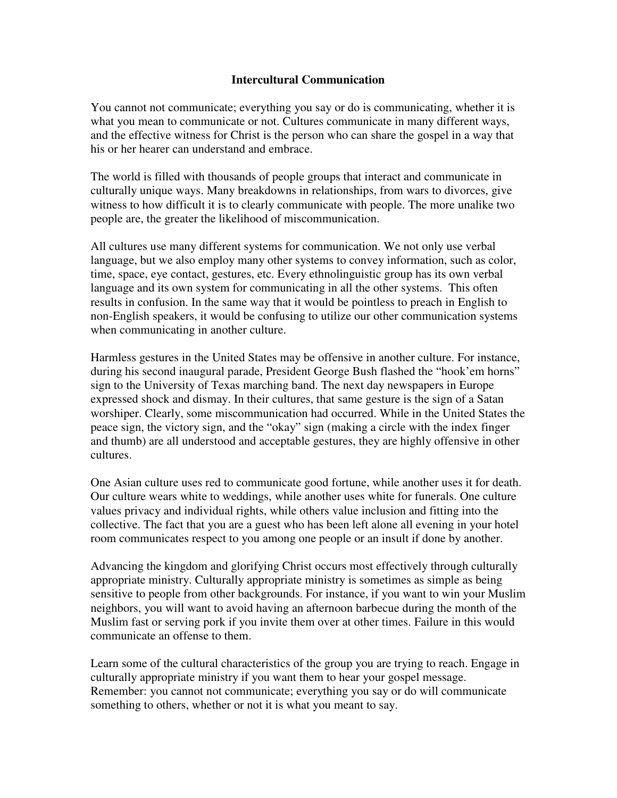## **Intercultural Communication**

You cannot not communicate; everything you say or do is communicating, whether it is what you mean to communicate or not. Cultures communicate in many different ways, and the effective witness for Christ is the person who can share the gospel in a way that his or her hearer can understand and embrace.

The world is filled with thousands of people groups that interact and communicate in culturally unique ways. Many breakdowns in relationships, from wars to divorces, give witness to how difficult it is to clearly communicate with people. The more unalike two people are, the greater the likelihood of miscommunication.

All cultures use many different systems for communication. We not only use verbal language, but we also employ many other systems to convey information, such as color, time, space, eye contact, gestures, etc. Every ethnolinguistic group has its own verbal language and its own system for communicating in all the other systems. This often results in confusion. In the same way that it would be pointless to preach in English to non-English speakers, it would be confusing to utilize our other communication systems when communicating in another culture.

Harmless gestures in the United States may be offensive in another culture. For instance, during his second inaugural parade, President George Bush flashed the "hook'em horns" sign to the University of Texas marching band. The next day newspapers in Europe expressed shock and dismay. In their cultures, that same gesture is the sign of a Satan worshiper. Clearly, some miscommunication had occurred. While in the United States the peace sign, the victory sign, and the "okay" sign (making a circle with the index finger and thumb) are all understood and acceptable gestures, they are highly offensive in other cultures.

One Asian culture uses red to communicate good fortune, while another uses it for death. Our culture wears white to weddings, while another uses white for funerals. One culture values privacy and individual rights, while others value inclusion and fitting into the collective. The fact that you are a guest who has been left alone all evening in your hotel room communicates respect to you among one people or an insult if done by another.

Advancing the kingdom and glorifying Christ occurs most effectively through culturally appropriate ministry. Culturally appropriate ministry is sometimes as simple as being sensitive to people from other backgrounds. For instance, if you want to win your Muslim neighbors, you will want to avoid having an afternoon barbecue during the month of the Muslim fast or serving pork if you invite them over at other times. Failure in this would communicate an offense to them.

Learn some of the cultural characteristics of the group you are trying to reach. Engage in culturally appropriate ministry if you want them to hear your gospel message. Remember: you cannot not communicate; everything you say or do will communicate something to others, whether or not it is what you meant to say.